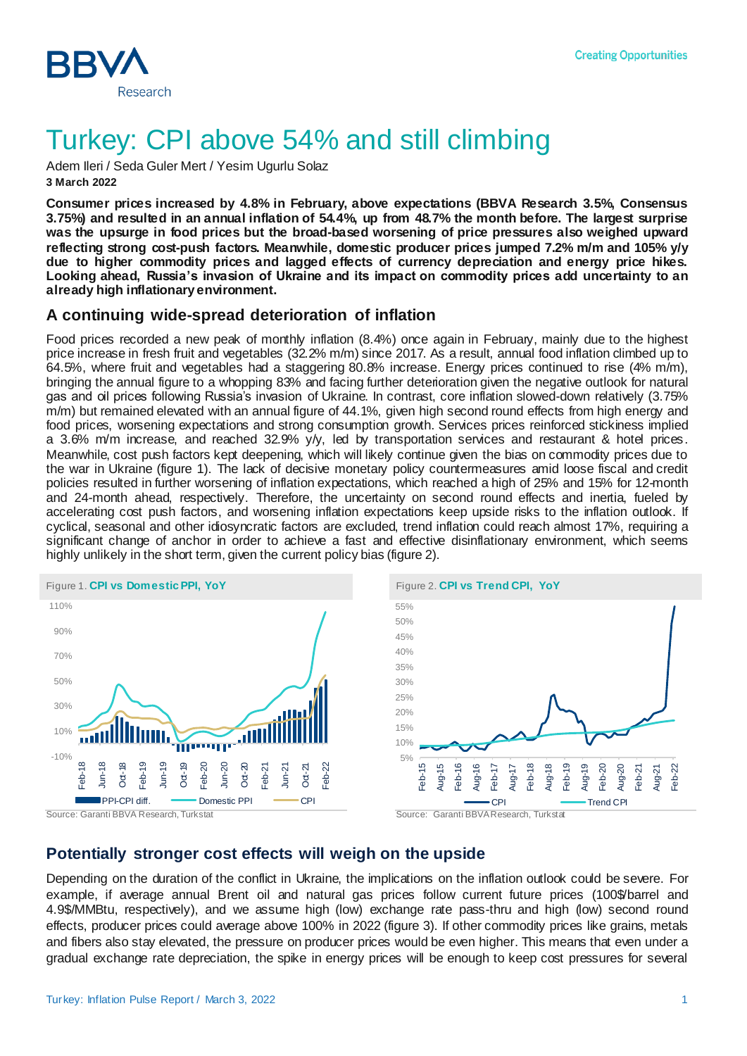

# Turkey: CPI above 54% and still climbing

Adem Ileri / Seda Guler Mert / Yesim Ugurlu Solaz **3 March 2022**

**Consumer prices increased by 4.8% in February, above expectations (BBVA Research 3.5%, Consensus 3.75%) and resulted in an annual inflation of 54.4%, up from 48.7% the month before. The largest surprise was the upsurge in food prices but the broad-based worsening of price pressures also weighed upward reflecting strong cost-push factors. Meanwhile, domestic producer prices jumped 7.2% m/m and 105% y/y due to higher commodity prices and lagged effects of currency depreciation and energy price hikes. Looking ahead, Russia's invasion of Ukraine and its impact on commodity prices add uncertainty to an already high inflationary environment.** 

### **A continuing wide-spread deterioration of inflation**

Food prices recorded a new peak of monthly inflation (8.4%) once again in February, mainly due to the highest price increase in fresh fruit and vegetables (32.2% m/m) since 2017. As a result, annual food inflation climbed up to 64.5%, where fruit and vegetables had a staggering 80.8% increase. Energy prices continued to rise (4% m/m), bringing the annual figure to a whopping 83% and facing further deterioration given the negative outlook for natural gas and oil prices following Russia's invasion of Ukraine. In contrast, core inflation slowed-down relatively (3.75% m/m) but remained elevated with an annual figure of 44.1%, given high second round effects from high energy and food prices, worsening expectations and strong consumption growth. Services prices reinforced stickiness implied a 3.6% m/m increase, and reached 32.9% y/y, led by transportation services and restaurant & hotel prices. Meanwhile, cost push factors kept deepening, which will likely continue given the bias on commodity prices due to the war in Ukraine (figure 1). The lack of decisive monetary policy countermeasures amid loose fiscal and credit policies resulted in further worsening of inflation expectations, which reached a high of 25% and 15% for 12-month and 24-month ahead, respectively. Therefore, the uncertainty on second round effects and inertia, fueled by accelerating cost push factors, and worsening inflation expectations keep upside risks to the inflation outlook. If cyclical, seasonal and other idiosyncratic factors are excluded, trend inflation could reach almost 17%, requiring a significant change of anchor in order to achieve a fast and effective disinflationary environment, which seems highly unlikely in the short term, given the current policy bias (figure 2).





#### **Potentially stronger cost effects will weigh on the upside**

Depending on the duration of the conflict in Ukraine, the implications on the inflation outlook could be severe. For example, if average annual Brent oil and natural gas prices follow current future prices (100\$/barrel and 4.9\$/MMBtu, respectively), and we assume high (low) exchange rate pass-thru and high (low) second round effects, producer prices could average above 100% in 2022 (figure 3). If other commodity prices like grains, metals and fibers also stay elevated, the pressure on producer prices would be even higher. This means that even under a gradual exchange rate depreciation, the spike in energy prices will be enough to keep cost pressures for several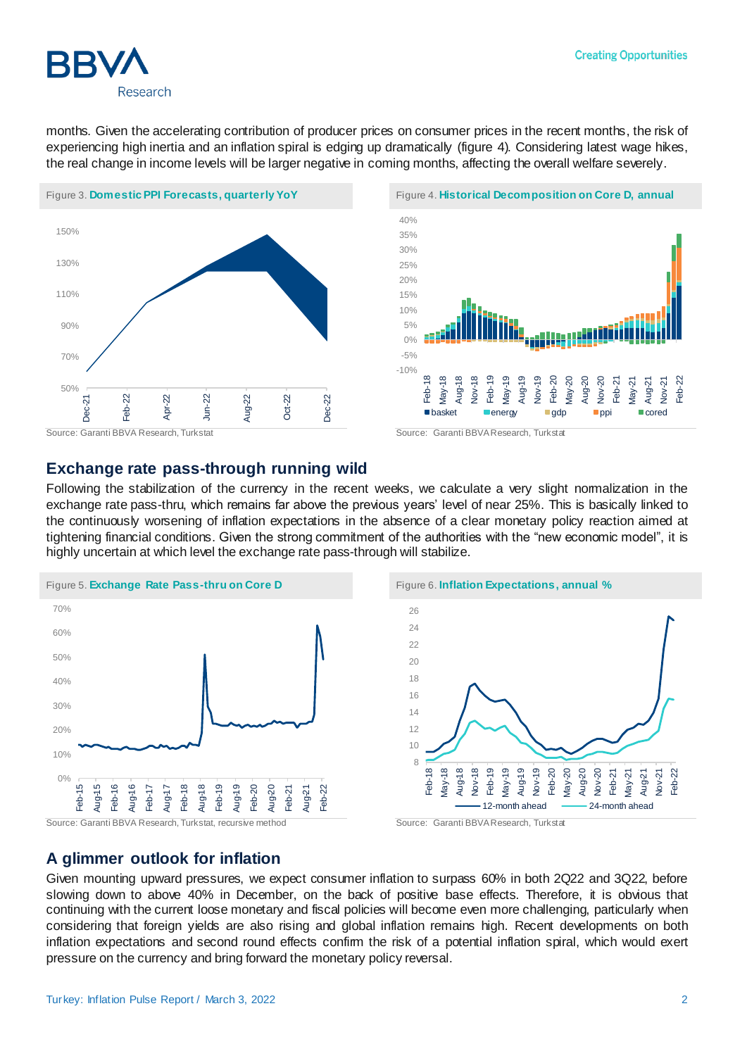

months. Given the accelerating contribution of producer prices on consumer prices in the recent months, the risk of experiencing high inertia and an inflation spiral is edging up dramatically (figure 4). Considering latest wage hikes, the real change in income levels will be larger negative in coming months, affecting the overall welfare severely.





#### **Exchange rate pass-through running wild**

Following the stabilization of the currency in the recent weeks, we calculate a very slight normalization in the exchange rate pass-thru, which remains far above the previous years' level of near 25%. This is basically linked to the continuously worsening of inflation expectations in the absence of a clear monetary policy reaction aimed at tightening financial conditions. Given the strong commitment of the authorities with the "new economic model", it is highly uncertain at which level the exchange rate pass-through will stabilize.



8 10 12 14 16 18 20 22 24 26 Feb-18 May-18 Aug-18 Nov-18 Feb-19 May-19 Aug-19 Nov-19 Feb-20 May-20 Aug-20 Nov-20 Feb-21 May-21 Aug-21 Nov-21 Feb-22 12-month ahead  $\longrightarrow$  24-month ahead

### **A glimmer outlook for inflation**

Given mounting upward pressures, we expect consumer inflation to surpass 60% in both 2Q22 and 3Q22, before slowing down to above 40% in December, on the back of positive base effects. Therefore, it is obvious that continuing with the current loose monetary and fiscal policies will become even more challenging, particularly when considering that foreign yields are also rising and global inflation remains high. Recent developments on both inflation expectations and second round effects confirm the risk of a potential inflation spiral, which would exert pressure on the currency and bring forward the monetary policy reversal.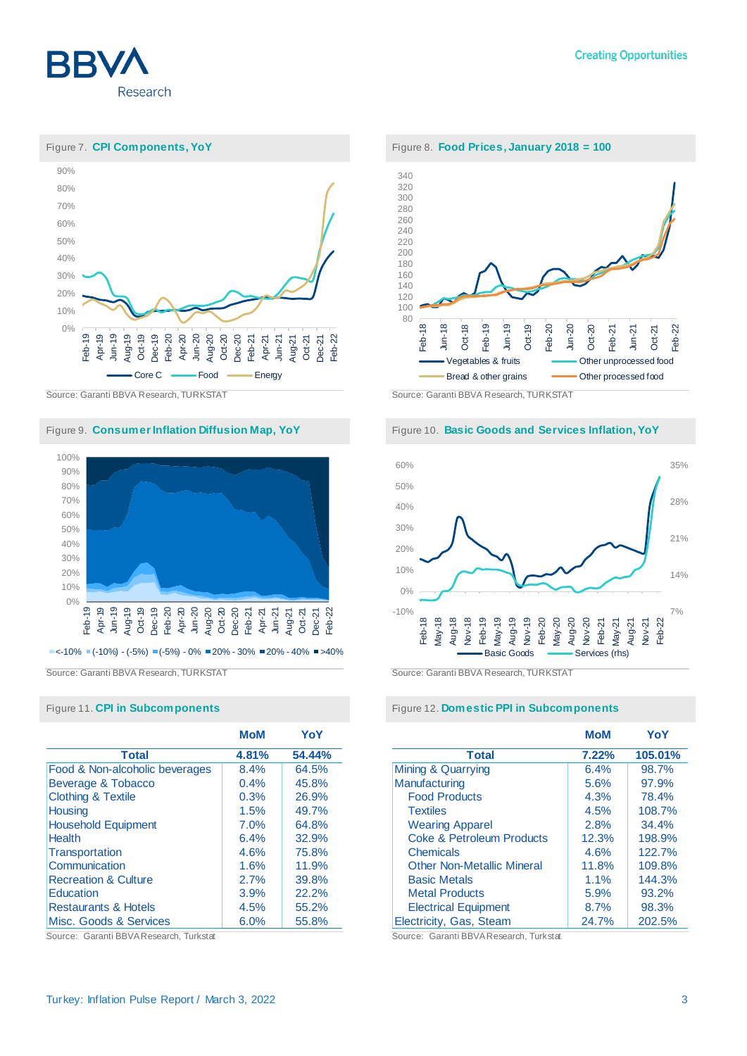



Source: Garanti BBVA Research, TURKSTAT Source: Garanti BBVA Research, TURKSTAT

Figure 9. **Consumer Inflation Diffusion Map, YoY** Figure 10. Basic Goods and Services Inflation, YoY



 $\blacksquare$ <-10%  $\blacksquare$ (-10%) - (-5%)  $\blacksquare$ (-5%) - 0%  $\blacksquare$ 20% - 30%  $\blacksquare$ 20% - 40%  $\blacksquare$ >40%

|                                 | <b>MoM</b> | YoY    |
|---------------------------------|------------|--------|
| <b>Total</b>                    | 4.81%      | 54.44% |
| Food & Non-alcoholic beverages  | 8.4%       | 64.5%  |
| Beverage & Tobacco              | 0.4%       | 45.8%  |
| <b>Clothing &amp; Textile</b>   | 0.3%       | 26.9%  |
| <b>Housing</b>                  | 1.5%       | 49.7%  |
| <b>Household Equipment</b>      | 7.0%       | 64.8%  |
| <b>Health</b>                   | 6.4%       | 32.9%  |
| <b>Transportation</b>           | 4.6%       | 75.8%  |
| Communication                   | 1.6%       | 11.9%  |
| <b>Recreation &amp; Culture</b> | 2.7%       | 39.8%  |
| Education                       | 3.9%       | 22.2%  |
| <b>Restaurants &amp; Hotels</b> | 4.5%       | 55.2%  |
| Misc. Goods & Services          | 6.0%       | 55.8%  |





Source: Garanti BBVA Research, TURKSTAT Source: Garanti BBVA Research, TURKSTAT

#### Figure 11. **CPI in Subcomponents** Figure 12. **Domestic PPI in Subcomponents**

|                                      | <b>MoM</b> | YoY     |
|--------------------------------------|------------|---------|
| <b>Total</b>                         | 7.22%      | 105.01% |
| Mining & Quarrying                   | 6.4%       | 98.7%   |
| Manufacturing                        | 5.6%       | 97.9%   |
| <b>Food Products</b>                 | 4.3%       | 78.4%   |
| <b>Textiles</b>                      | 4.5%       | 108.7%  |
| <b>Wearing Apparel</b>               | 2.8%       | 34.4%   |
| <b>Coke &amp; Petroleum Products</b> | 12.3%      | 198.9%  |
| <b>Chemicals</b>                     | 4.6%       | 122.7%  |
| <b>Other Non-Metallic Mineral</b>    | 11.8%      | 109.8%  |
| <b>Basic Metals</b>                  | 1.1%       | 144.3%  |
| <b>Metal Products</b>                | 5.9%       | 93.2%   |
| <b>Electrical Equipment</b>          | 8.7%       | 98.3%   |
| Electricity, Gas, Steam              | 24.7%      | 202.5%  |

Source: Garanti BBVA Research, Turkstat Source: Garanti BBVA Research, Turkstat